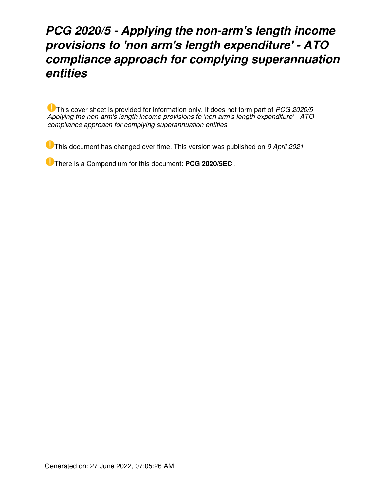# *PCG 2020/5 - Applying the non-arm's length income provisions to 'non arm's length expenditure' - ATO compliance approach for complying superannuation entities*

This cover sheet is provided for information only. It does not form part of *PCG 2020/5 - Applying the non-arm's length income provisions to 'non arm's length expenditure' - ATO compliance approach for complying superannuation entities*

This document has changed over time. This version was published on *9 April 2021*

There is a Compendium for this document: **[PCG 2020/5EC](https://www.ato.gov.au/law/view/document?LocID=%22COG%2FPCG20205EC%2FNAT%2FATO%2F00001%22&PiT=99991231235958)** .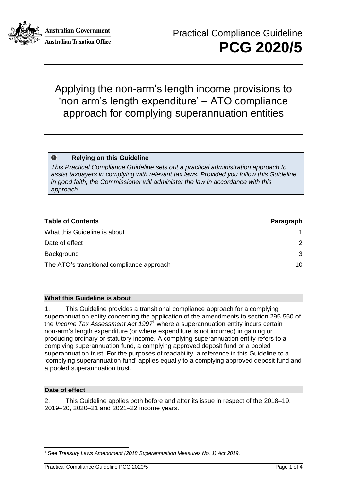

**Australian Government Australian Taxation Office** 

## Applying the non-arm's length income provisions to 'non arm's length expenditure' – ATO compliance approach for complying superannuation entities

#### $\bullet$ **Relying on this Guideline**

*This Practical Compliance Guideline sets out a practical administration approach to assist taxpayers in complying with relevant tax laws. Provided you follow this Guideline in good faith, the Commissioner will administer the law in accordance with this approach.*

| <b>Table of Contents</b>                   | Paragraph     |
|--------------------------------------------|---------------|
| What this Guideline is about               |               |
| Date of effect                             | $\mathcal{P}$ |
| Background                                 | 3             |
| The ATO's transitional compliance approach | 10            |

#### **What this Guideline is about**

1. This Guideline provides a transitional compliance approach for a complying superannuation entity concerning the application of the amendments to section 295-550 of the *Income Tax Assessment Act 1997*<sup>1</sup> where a superannuation entity incurs certain non-arm's length expenditure (or where expenditure is not incurred) in gaining or producing ordinary or statutory income. A complying superannuation entity refers to a complying superannuation fund, a complying approved deposit fund or a pooled superannuation trust. For the purposes of readability, a reference in this Guideline to a 'complying superannuation fund' applies equally to a complying approved deposit fund and a pooled superannuation trust.

#### **Date of effect**

2. This Guideline applies both before and after its issue in respect of the 2018–19, 2019–20, 2020–21 and 2021–22 income years.

<sup>1</sup> See *Treasury Laws Amendment (2018 Superannuation Measures No. 1) Act 2019*.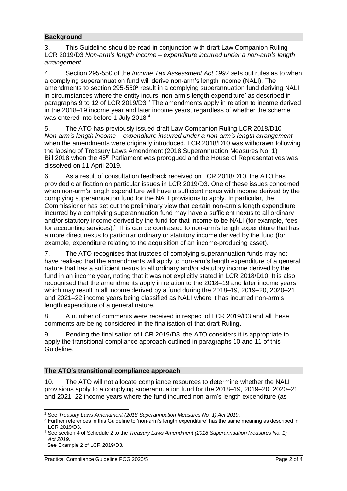### **Background**

3. This Guideline should be read in conjunction with draft Law Companion Ruling LCR 2019/D3 *Non-arm's length income – expenditure incurred under a non-arm's length arrangement*.

4. Section 295-550 of the *Income Tax Assessment Act 1997* sets out rules as to when a complying superannuation fund will derive non-arm's length income (NALI). The amendments to section 295-550 $^2$  result in a complying superannuation fund deriving NALI in circumstances where the entity incurs 'non-arm's length expenditure' as described in paragraphs 9 to 12 of LCR 2019/D3.<sup>3</sup> The amendments apply in relation to income derived in the 2018–19 income year and later income years, regardless of whether the scheme was entered into before 1 July 2018.<sup>4</sup>

5. The ATO has previously issued draft Law Companion Ruling LCR 2018/D10 *Non-arm's length income – expenditure incurred under a non-arm's length arrangement* when the amendments were originally introduced. LCR 2018/D10 was withdrawn following the lapsing of Treasury Laws Amendment (2018 Superannuation Measures No. 1) Bill 2018 when the 45<sup>th</sup> Parliament was prorogued and the House of Representatives was dissolved on 11 April 2019.

6. As a result of consultation feedback received on LCR 2018/D10, the ATO has provided clarification on particular issues in LCR 2019/D3. One of these issues concerned when non-arm's length expenditure will have a sufficient nexus with income derived by the complying superannuation fund for the NALI provisions to apply. In particular, the Commissioner has set out the preliminary view that certain non-arm's length expenditure incurred by a complying superannuation fund may have a sufficient nexus to all ordinary and/or statutory income derived by the fund for that income to be NALI (for example, fees for accounting services).<sup>5</sup> This can be contrasted to non-arm's length expenditure that has a more direct nexus to particular ordinary or statutory income derived by the fund (for example, expenditure relating to the acquisition of an income-producing asset).

7. The ATO recognises that trustees of complying superannuation funds may not have realised that the amendments will apply to non-arm's length expenditure of a general nature that has a sufficient nexus to all ordinary and/or statutory income derived by the fund in an income year, noting that it was not explicitly stated in LCR 2018/D10. It is also recognised that the amendments apply in relation to the 2018–19 and later income years which may result in all income derived by a fund during the 2018–19, 2019–20, 2020–21 and 2021–22 income years being classified as NALI where it has incurred non-arm's length expenditure of a general nature.

8. A number of comments were received in respect of LCR 2019/D3 and all these comments are being considered in the finalisation of that draft Ruling.

9. Pending the finalisation of LCR 2019/D3, the ATO considers it is appropriate to apply the transitional compliance approach outlined in paragraphs 10 and 11 of this Guideline.

#### **The ATO**'**s transitional compliance approach**

10. The ATO will not allocate compliance resources to determine whether the NALI provisions apply to a complying superannuation fund for the 2018–19, 2019–20, 2020–21 and 2021–22 income years where the fund incurred non-arm's length expenditure (as

<sup>2</sup> See *Treasury Laws Amendment (2018 Superannuation Measures No. 1) Act 2019*.

<sup>3</sup> Further references in this Guideline to 'non-arm's length expenditure' has the same meaning as described in LCR 2019/D3.

<sup>4</sup> See section 4 of Schedule 2 to the *Treasury Laws Amendment (2018 Superannuation Measures No. 1) Act 2019*.

<sup>5</sup> See Example 2 of LCR 2019/D3.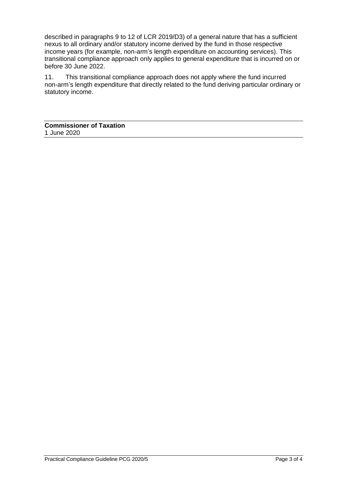described in paragraphs 9 to 12 of LCR 2019/D3) of a general nature that has a sufficient nexus to all ordinary and/or statutory income derived by the fund in those respective income years (for example, non-arm's length expenditure on accounting services). This transitional compliance approach only applies to general expenditure that is incurred on or before 30 June 2022.

11. This transitional compliance approach does not apply where the fund incurred non-arm's length expenditure that directly related to the fund deriving particular ordinary or statutory income.

**Commissioner of Taxation** 1 June 2020